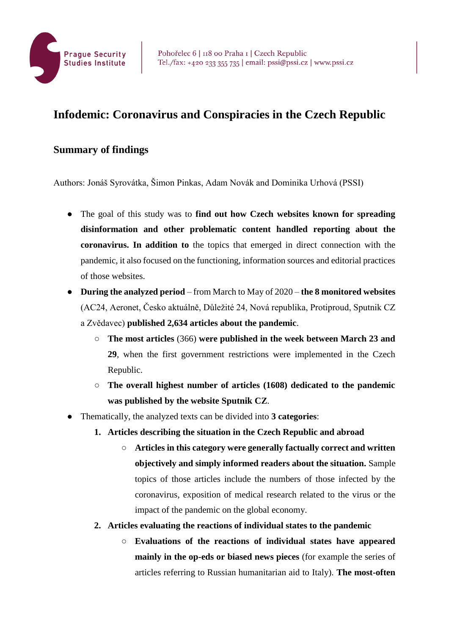

## **Infodemic: Coronavirus and Conspiracies in the Czech Republic**

## **Summary of findings**

Authors: Jonáš Syrovátka, Šimon Pinkas, Adam Novák and Dominika Urhová (PSSI)

- The goal of this study was to **find out how Czech websites known for spreading disinformation and other problematic content handled reporting about the coronavirus. In addition to** the topics that emerged in direct connection with the pandemic, it also focused on the functioning, information sources and editorial practices of those websites.
- **During the analyzed period** from March to May of 2020 **the 8 monitored websites** (AC24, Aeronet, Česko aktuálně, Důležité 24, Nová republika, Protiproud, Sputnik CZ a Zvědavec) **published 2,634 articles about the pandemic**.
	- **The most articles** (366) **were published in the week between March 23 and 29**, when the first government restrictions were implemented in the Czech Republic.
	- **The overall highest number of articles (1608) dedicated to the pandemic was published by the website Sputnik CZ**.
- Thematically, the analyzed texts can be divided into **3 categories**:
	- **1. Articles describing the situation in the Czech Republic and abroad**
		- **Articles in this category were generally factually correct and written objectively and simply informed readers about the situation.** Sample topics of those articles include the numbers of those infected by the coronavirus, exposition of medical research related to the virus or the impact of the pandemic on the global economy.
	- **2. Articles evaluating the reactions of individual states to the pandemic** 
		- **Evaluations of the reactions of individual states have appeared mainly in the op-eds or biased news pieces** (for example the series of articles referring to Russian humanitarian aid to Italy). **The most-often**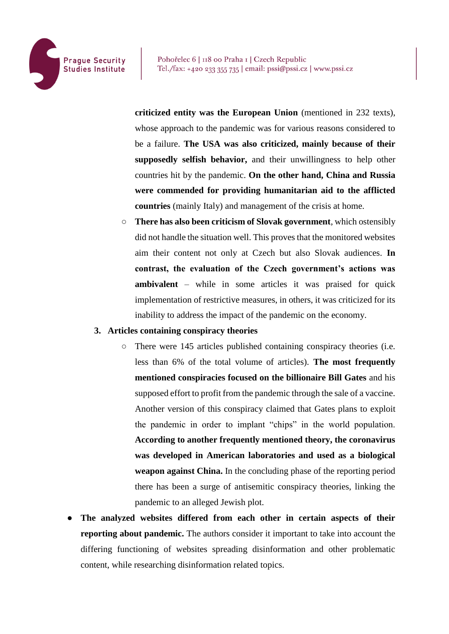

**criticized entity was the European Union** (mentioned in 232 texts), whose approach to the pandemic was for various reasons considered to be a failure. **The USA was also criticized, mainly because of their supposedly selfish behavior,** and their unwillingness to help other countries hit by the pandemic. **On the other hand, China and Russia were commended for providing humanitarian aid to the afflicted countries** (mainly Italy) and management of the crisis at home.

○ **There has also been criticism of Slovak government**, which ostensibly did not handle the situation well. This proves that the monitored websites aim their content not only at Czech but also Slovak audiences. **In contrast, the evaluation of the Czech government's actions was ambivalent** – while in some articles it was praised for quick implementation of restrictive measures, in others, it was criticized for its inability to address the impact of the pandemic on the economy.

## **3. Articles containing conspiracy theories**

- There were 145 articles published containing conspiracy theories (i.e. less than 6% of the total volume of articles). **The most frequently mentioned conspiracies focused on the billionaire Bill Gates** and his supposed effort to profit from the pandemic through the sale of a vaccine. Another version of this conspiracy claimed that Gates plans to exploit the pandemic in order to implant "chips" in the world population. **According to another frequently mentioned theory, the coronavirus was developed in American laboratories and used as a biological weapon against China.** In the concluding phase of the reporting period there has been a surge of antisemitic conspiracy theories, linking the pandemic to an alleged Jewish plot.
- **The analyzed websites differed from each other in certain aspects of their reporting about pandemic.** The authors consider it important to take into account the differing functioning of websites spreading disinformation and other problematic content, while researching disinformation related topics.